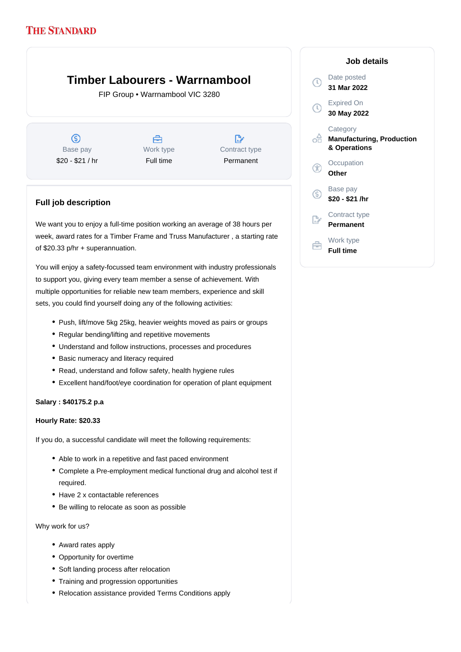# **Timber Labourers - Warrnambool**

FIP Group • Warrnambool VIC 3280

ග Base pay \$20 - \$21 / hr

Å Work type Full time

D, Contract type Permanent

## **Full job description**

We want you to enjoy a full-time position working an average of 38 hours per week, award rates for a Timber Frame and Truss Manufacturer , a starting rate of \$20.33 p/hr + superannuation.

You will enjoy a safety-focussed team environment with industry professionals to support you, giving every team member a sense of achievement. With multiple opportunities for reliable new team members, experience and skill sets, you could find yourself doing any of the following activities:

- Push, lift/move 5kg 25kg, heavier weights moved as pairs or groups
- Regular bending/lifting and repetitive movements
- Understand and follow instructions, processes and procedures
- Basic numeracy and literacy required
- Read, understand and follow safety, health hygiene rules
- Excellent hand/foot/eye coordination for operation of plant equipment

### **Salary : \$40175.2 p.a**

#### **Hourly Rate: \$20.33**

If you do, a successful candidate will meet the following requirements:

- Able to work in a repetitive and fast paced environment
- Complete a Pre-employment medical functional drug and alcohol test if required.
- Have 2 x contactable references
- Be willing to relocate as soon as possible

Why work for us?

- Award rates apply
- Opportunity for overtime
- Soft landing process after relocation
- Training and progression opportunities
- Relocation assistance provided Terms Conditions apply

### **Job details** Date posted Œ **31 Mar 2022** Expired On  $\bigcap$ **30 May 2022 Category** ofi **Manufacturing, Production & Operations Occupation Other** Base pay (S) **\$20 - \$21 /hr** Contract type **Permanent** Work type 户 **Full time**